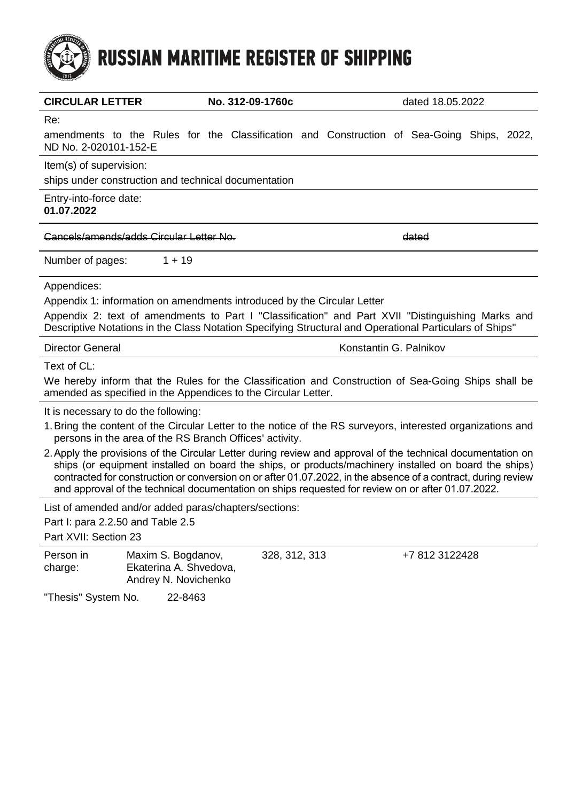

|                                                                                                                                                                                                                                                                                                                                                                                                                                            | <b>CIRCULAR LETTER</b><br>No. 312-09-1760c                           |  |               |  | dated 18.05.2022       |  |                |  |  |
|--------------------------------------------------------------------------------------------------------------------------------------------------------------------------------------------------------------------------------------------------------------------------------------------------------------------------------------------------------------------------------------------------------------------------------------------|----------------------------------------------------------------------|--|---------------|--|------------------------|--|----------------|--|--|
| Re:                                                                                                                                                                                                                                                                                                                                                                                                                                        |                                                                      |  |               |  |                        |  |                |  |  |
| amendments to the Rules for the Classification and Construction of Sea-Going Ships, 2022,<br>ND No. 2-020101-152-E                                                                                                                                                                                                                                                                                                                         |                                                                      |  |               |  |                        |  |                |  |  |
| Item(s) of supervision:                                                                                                                                                                                                                                                                                                                                                                                                                    |                                                                      |  |               |  |                        |  |                |  |  |
|                                                                                                                                                                                                                                                                                                                                                                                                                                            | ships under construction and technical documentation                 |  |               |  |                        |  |                |  |  |
| Entry-into-force date:<br>01.07.2022                                                                                                                                                                                                                                                                                                                                                                                                       |                                                                      |  |               |  |                        |  |                |  |  |
|                                                                                                                                                                                                                                                                                                                                                                                                                                            | Cancels/amends/adds Circular Letter No.                              |  |               |  | dated                  |  |                |  |  |
| Number of pages:                                                                                                                                                                                                                                                                                                                                                                                                                           | $1 + 19$                                                             |  |               |  |                        |  |                |  |  |
| Appendices:                                                                                                                                                                                                                                                                                                                                                                                                                                |                                                                      |  |               |  |                        |  |                |  |  |
| Appendix 1: information on amendments introduced by the Circular Letter                                                                                                                                                                                                                                                                                                                                                                    |                                                                      |  |               |  |                        |  |                |  |  |
| Appendix 2: text of amendments to Part I "Classification" and Part XVII "Distinguishing Marks and<br>Descriptive Notations in the Class Notation Specifying Structural and Operational Particulars of Ships"                                                                                                                                                                                                                               |                                                                      |  |               |  |                        |  |                |  |  |
| <b>Director General</b>                                                                                                                                                                                                                                                                                                                                                                                                                    |                                                                      |  |               |  | Konstantin G. Palnikov |  |                |  |  |
| Text of CL:                                                                                                                                                                                                                                                                                                                                                                                                                                |                                                                      |  |               |  |                        |  |                |  |  |
| We hereby inform that the Rules for the Classification and Construction of Sea-Going Ships shall be<br>amended as specified in the Appendices to the Circular Letter.                                                                                                                                                                                                                                                                      |                                                                      |  |               |  |                        |  |                |  |  |
| It is necessary to do the following:                                                                                                                                                                                                                                                                                                                                                                                                       |                                                                      |  |               |  |                        |  |                |  |  |
| 1. Bring the content of the Circular Letter to the notice of the RS surveyors, interested organizations and<br>persons in the area of the RS Branch Offices' activity.                                                                                                                                                                                                                                                                     |                                                                      |  |               |  |                        |  |                |  |  |
| 2. Apply the provisions of the Circular Letter during review and approval of the technical documentation on<br>ships (or equipment installed on board the ships, or products/machinery installed on board the ships)<br>contracted for construction or conversion on or after 01.07.2022, in the absence of a contract, during review<br>and approval of the technical documentation on ships requested for review on or after 01.07.2022. |                                                                      |  |               |  |                        |  |                |  |  |
| List of amended and/or added paras/chapters/sections:                                                                                                                                                                                                                                                                                                                                                                                      |                                                                      |  |               |  |                        |  |                |  |  |
| Part I: para 2.2.50 and Table 2.5                                                                                                                                                                                                                                                                                                                                                                                                          |                                                                      |  |               |  |                        |  |                |  |  |
| Part XVII: Section 23                                                                                                                                                                                                                                                                                                                                                                                                                      |                                                                      |  |               |  |                        |  |                |  |  |
| Person in<br>charge:                                                                                                                                                                                                                                                                                                                                                                                                                       | Maxim S. Bogdanov,<br>Ekaterina A. Shvedova,<br>Andrey N. Novichenko |  | 328, 312, 313 |  |                        |  | +7 812 3122428 |  |  |
| "Thesis" System No.                                                                                                                                                                                                                                                                                                                                                                                                                        | 22-8463                                                              |  |               |  |                        |  |                |  |  |
|                                                                                                                                                                                                                                                                                                                                                                                                                                            |                                                                      |  |               |  |                        |  |                |  |  |
|                                                                                                                                                                                                                                                                                                                                                                                                                                            |                                                                      |  |               |  |                        |  |                |  |  |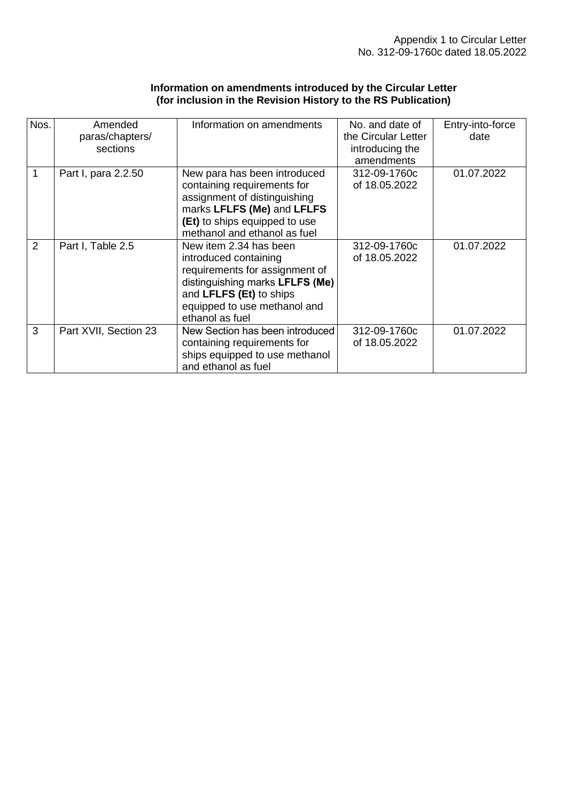### **Information on amendments introduced by the Circular Letter (for inclusion in the Revision History to the RS Publication)**

| Nos.           | Amended<br>paras/chapters/<br>sections | Information on amendments                                                                                                                                                                          | No. and date of<br>the Circular Letter<br>introducing the<br>amendments | Entry-into-force<br>date |
|----------------|----------------------------------------|----------------------------------------------------------------------------------------------------------------------------------------------------------------------------------------------------|-------------------------------------------------------------------------|--------------------------|
| 1              | Part I, para 2.2.50                    | New para has been introduced<br>containing requirements for<br>assignment of distinguishing<br>marks LFLFS (Me) and LFLFS<br>(Et) to ships equipped to use<br>methanol and ethanol as fuel         | 312-09-1760c<br>of 18.05.2022                                           | 01.07.2022               |
| $\overline{2}$ | Part I, Table 2.5                      | New item 2.34 has been<br>introduced containing<br>requirements for assignment of<br>distinguishing marks LFLFS (Me)<br>and LFLFS (Et) to ships<br>equipped to use methanol and<br>ethanol as fuel | 312-09-1760c<br>of 18.05.2022                                           | 01.07.2022               |
| 3              | Part XVII, Section 23                  | New Section has been introduced<br>containing requirements for<br>ships equipped to use methanol<br>and ethanol as fuel                                                                            | 312-09-1760c<br>of 18.05.2022                                           | 01.07.2022               |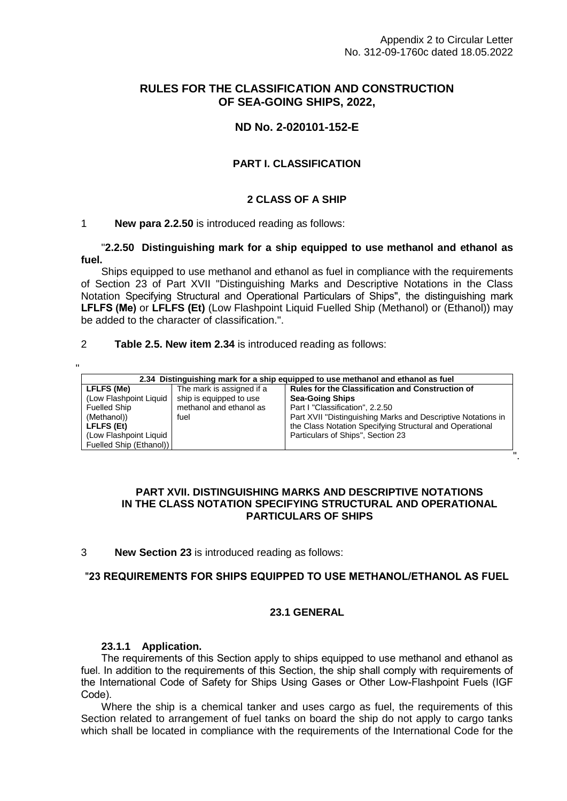".

# **RULES FOR THE CLASSIFICATION AND CONSTRUCTION OF SEA-GOING SHIPS, 2022,**

# **ND No. 2-020101-152-E**

# **PART I. CLASSIFICATION**

### **2 CLASS OF A SHIP**

## 1 **New para 2.2.50** is introduced reading as follows:

"**2.2.50 Distinguishing mark for a ship equipped to use methanol and ethanol as fuel.**

Ships equipped to use methanol and ethanol as fuel in compliance with the requirements of Section 23 of Part XVII "Distinguishing Marks and Descriptive Notations in the Class Notation Specifying Structural and Operational Particulars of Ships", the distinguishing mark **LFLFS (Me)** or **LFLFS (Et)** (Low Flashpoint Liquid Fuelled Ship (Methanol) or (Ethanol)) may be added to the character of classification.".

2 **Table 2.5. New item 2.34** is introduced reading as follows:

| 2.34 Distinguishing mark for a ship equipped to use methanol and ethanol as fuel |                           |                                                              |  |  |  |  |
|----------------------------------------------------------------------------------|---------------------------|--------------------------------------------------------------|--|--|--|--|
| LFLFS (Me)                                                                       | The mark is assigned if a | <b>Rules for the Classification and Construction of</b>      |  |  |  |  |
| (Low Flashpoint Liquid                                                           | ship is equipped to use   | <b>Sea-Going Ships</b>                                       |  |  |  |  |
| <b>Fuelled Ship</b>                                                              | methanol and ethanol as   | Part I "Classification", 2.2.50                              |  |  |  |  |
| (Methanol))                                                                      | fuel                      | Part XVII "Distinguishing Marks and Descriptive Notations in |  |  |  |  |
| LFLFS (Et)                                                                       |                           | the Class Notation Specifying Structural and Operational     |  |  |  |  |
| (Low Flashpoint Liquid                                                           |                           | Particulars of Ships", Section 23                            |  |  |  |  |
| Fuelled Ship (Ethanol))                                                          |                           |                                                              |  |  |  |  |

## **PART XVII. DISTINGUISHING MARKS AND DESCRIPTIVE NOTATIONS IN THE CLASS NOTATION SPECIFYING STRUCTURAL AND OPERATIONAL PARTICULARS OF SHIPS**

3 **New Section 23** is introduced reading as follows:

## "**23 REQUIREMENTS FOR SHIPS EQUIPPED TO USE METHANOL/ETHANOL AS FUEL**

## **23.1 GENERAL**

#### **23.1.1 Application.**

The requirements of this Section apply to ships equipped to use methanol and ethanol as fuel. In addition to the requirements of this Section, the ship shall comply with requirements of the International Code of Safety for Ships Using Gases or Other Low-Flashpoint Fuels (IGF Code).

Where the ship is a chemical tanker and uses cargo as fuel, the requirements of this Section related to arrangement of fuel tanks on board the ship do not apply to cargo tanks which shall be located in compliance with the requirements of the International Code for the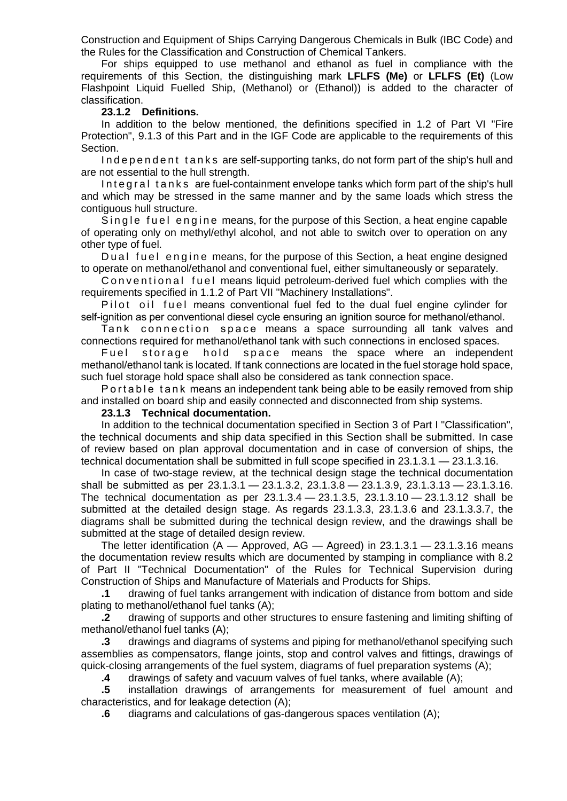Construction and Equipment of Ships Carrying Dangerous Chemicals in Bulk (IBC Code) and the Rules for the Classification and Construction of Chemical Tankers.

For ships equipped to use methanol and ethanol as fuel in compliance with the requirements of this Section, the distinguishing mark **LFLFS (Me)** or **LFLFS (Et)** (Low Flashpoint Liquid Fuelled Ship, (Methanol) or (Ethanol)) is added to the character of classification.

#### **23.1.2 Definitions.**

In addition to the below mentioned, the definitions specified in 1.2 of Part VI "Fire Protection", 9.1.3 of this Part and in the IGF Code are applicable to the requirements of this Section.

Independent tanks are self-supporting tanks, do not form part of the ship's hull and are not essential to the hull strength.

Integral tanks are fuel-containment envelope tanks which form part of the ship's hull and which may be stressed in the same manner and by the same loads which stress the contiguous hull structure.

Single fuel engine means, for the purpose of this Section, a heat engine capable of operating only on methyl/ethyl alcohol, and not able to switch over to operation on any other type of fuel.

Dual fuel engine means, for the purpose of this Section, a heat engine designed to operate on methanol/ethanol and conventional fuel, either simultaneously or separately.

C on v entional fuel means liquid petroleum-derived fuel which complies with the requirements specified in 1.1.2 of Part VII "Machinery Installations".

Pilot oil fuel means conventional fuel fed to the dual fuel engine cylinder for self-ignition as per conventional diesel cycle ensuring an ignition source for methanol/ethanol.

Tank connection space means a space surrounding all tank valves and connections required for methanol/ethanol tank with such connections in enclosed spaces.

Fuel storage hold space means the space where an independent methanol/ethanol tank is located. If tank connections are located in the fuel storage hold space, such fuel storage hold space shall also be considered as tank connection space.

P o r t a b l e t a n k means an independent tank being able to be easily removed from ship and installed on board ship and easily connected and disconnected from ship systems.

#### **23.1.3 Technical documentation.**

In addition to the technical documentation specified in Section 3 of Part I "Classification", the technical documents and ship data specified in this Section shall be submitted. In case of review based on plan approval documentation and in case of conversion of ships, the technical documentation shall be submitted in full scope specified in 23.1.3.1 — 23.1.3.16.

In case of two-stage review, at the technical design stage the technical documentation shall be submitted as per 23.1.3.1 — 23.1.3.2, 23.1.3.8 — 23.1.3.9, 23.1.3.13 — 23.1.3.16. The technical documentation as per 23.1.3.4 — 23.1.3.5, 23.1.3.10 — 23.1.3.12 shall be submitted at the detailed design stage. As regards 23.1.3.3, 23.1.3.6 and 23.1.3.3.7, the diagrams shall be submitted during the technical design review, and the drawings shall be submitted at the stage of detailed design review.

The letter identification (A — Approved, AG — Agreed) in  $23.1.3.1 - 23.1.3.16$  means the documentation review results which are documented by stamping in compliance with 8.2 of Part II "Technical Documentation" of the Rules for Technical Supervision during Construction of Ships and Manufacture of Materials and Products for Ships.

**.1** drawing of fuel tanks arrangement with indication of distance from bottom and side plating to methanol/ethanol fuel tanks (A);

**.2** drawing of supports and other structures to ensure fastening and limiting shifting of methanol/ethanol fuel tanks (A);

**.3** drawings and diagrams of systems and piping for methanol/ethanol specifying such assemblies as compensators, flange joints, stop and control valves and fittings, drawings of quick-closing arrangements of the fuel system, diagrams of fuel preparation systems (A);

**.4** drawings of safety and vacuum valves of fuel tanks, where available (A);

**.5** installation drawings of arrangements for measurement of fuel amount and characteristics, and for leakage detection (A);

**.6** diagrams and calculations of gas-dangerous spaces ventilation (A);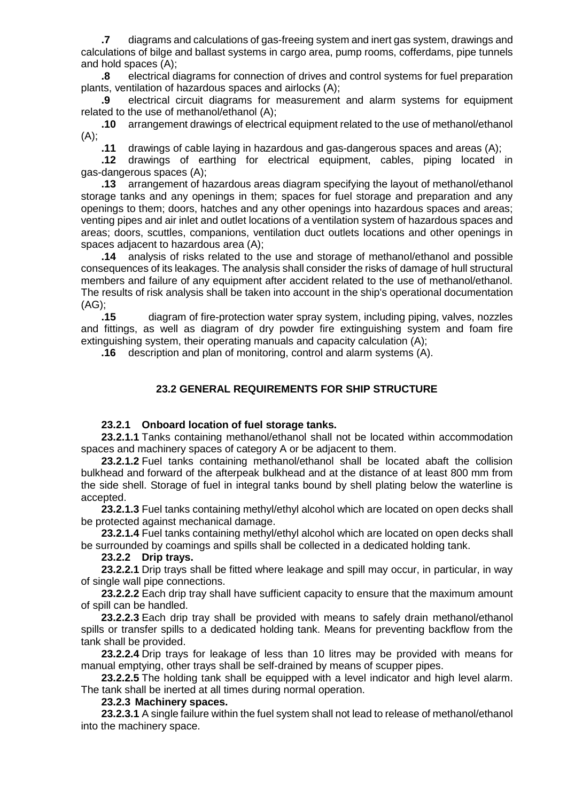**.7** diagrams and calculations of gas-freeing system and inert gas system, drawings and calculations of bilge and ballast systems in cargo area, pump rooms, cofferdams, pipe tunnels and hold spaces (A);

**.8** electrical diagrams for connection of drives and control systems for fuel preparation plants, ventilation of hazardous spaces and airlocks (A);

**.9** electrical circuit diagrams for measurement and alarm systems for equipment related to the use of methanol/ethanol (A);

**.10** arrangement drawings of electrical equipment related to the use of methanol/ethanol (A);

**.11** drawings of cable laying in hazardous and gas-dangerous spaces and areas (A);

**.12** drawings of earthing for electrical equipment, cables, piping located in gas-dangerous spaces (A);

**.13** arrangement of hazardous areas diagram specifying the layout of methanol/ethanol storage tanks and any openings in them; spaces for fuel storage and preparation and any openings to them; doors, hatches and any other openings into hazardous spaces and areas; venting pipes and air inlet and outlet locations of a ventilation system of hazardous spaces and areas; doors, scuttles, companions, ventilation duct outlets locations and other openings in spaces adjacent to hazardous area (A);

**.14** analysis of risks related to the use and storage of methanol/ethanol and possible consequences of its leakages. The analysis shall consider the risks of damage of hull structural members and failure of any equipment after accident related to the use of methanol/ethanol. The results of risk analysis shall be taken into account in the ship's operational documentation (AG);

**.15** diagram of fire-protection water spray system, including piping, valves, nozzles and fittings, as well as diagram of dry powder fire extinguishing system and foam fire extinguishing system, their operating manuals and capacity calculation (A);

**.16** description and plan of monitoring, control and alarm systems (A).

### **23.2 GENERAL REQUIREMENTS FOR SHIP STRUCTURE**

#### **23.2.1 Onboard location of fuel storage tanks.**

**23.2.1.1** Tanks containing methanol/ethanol shall not be located within accommodation spaces and machinery spaces of category A or be adjacent to them.

**23.2.1.2** Fuel tanks containing methanol/ethanol shall be located abaft the collision bulkhead and forward of the afterpeak bulkhead and at the distance of at least 800 mm from the side shell. Storage of fuel in integral tanks bound by shell plating below the waterline is accepted.

**23.2.1.3** Fuel tanks containing methyl/ethyl alcohol which are located on open decks shall be protected against mechanical damage.

**23.2.1.4** Fuel tanks containing methyl/ethyl alcohol which are located on open decks shall be surrounded by coamings and spills shall be collected in a dedicated holding tank.

**23.2.2 Drip trays.**

**23.2.2.1** Drip trays shall be fitted where leakage and spill may occur, in particular, in way of single wall pipe connections.

**23.2.2.2** Each drip tray shall have sufficient capacity to ensure that the maximum amount of spill can be handled.

**23.2.2.3** Each drip tray shall be provided with means to safely drain methanol/ethanol spills or transfer spills to a dedicated holding tank. Means for preventing backflow from the tank shall be provided.

**23.2.2.4** Drip trays for leakage of less than 10 litres may be provided with means for manual emptying, other trays shall be self-drained by means of scupper pipes.

**23.2.2.5** The holding tank shall be equipped with a level indicator and high level alarm. The tank shall be inerted at all times during normal operation.

#### **23.2.3 Machinery spaces.**

**23.2.3.1** A single failure within the fuel system shall not lead to release of methanol/ethanol into the machinery space.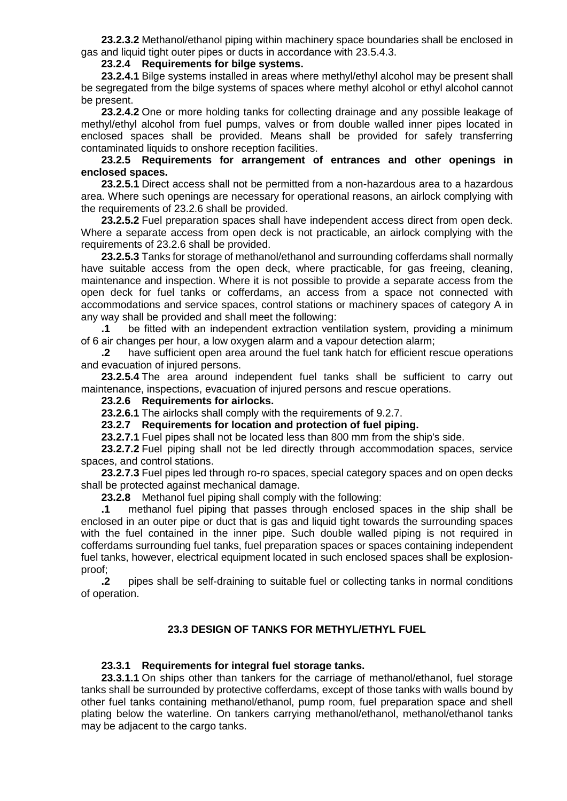**23.2.3.2** Methanol/ethanol piping within machinery space boundaries shall be enclosed in gas and liquid tight outer pipes or ducts in accordance with 23.5.4.3.

#### **23.2.4 Requirements for bilge systems.**

**23.2.4.1** Bilge systems installed in areas where methyl/ethyl alcohol may be present shall be segregated from the bilge systems of spaces where methyl alcohol or ethyl alcohol cannot be present.

**23.2.4.2** One or more holding tanks for collecting drainage and any possible leakage of methyl/ethyl alcohol from fuel pumps, valves or from double walled inner pipes located in enclosed spaces shall be provided. Means shall be provided for safely transferring contaminated liquids to onshore reception facilities.

### **23.2.5 Requirements for arrangement of entrances and other openings in enclosed spaces.**

**23.2.5.1** Direct access shall not be permitted from a non-hazardous area to a hazardous area. Where such openings are necessary for operational reasons, an airlock complying with the requirements of 23.2.6 shall be provided.

**23.2.5.2** Fuel preparation spaces shall have independent access direct from open deck. Where a separate access from open deck is not practicable, an airlock complying with the requirements of 23.2.6 shall be provided.

**23.2.5.3** Tanks for storage of methanol/ethanol and surrounding cofferdams shall normally have suitable access from the open deck, where practicable, for gas freeing, cleaning, maintenance and inspection. Where it is not possible to provide a separate access from the open deck for fuel tanks or cofferdams, an access from a space not connected with accommodations and service spaces, control stations or machinery spaces of category A in any way shall be provided and shall meet the following:

**.1** be fitted with an independent extraction ventilation system, providing a minimum of 6 air changes per hour, a low oxygen alarm and a vapour detection alarm;

**.2** have sufficient open area around the fuel tank hatch for efficient rescue operations and evacuation of injured persons.

**23.2.5.4** The area around independent fuel tanks shall be sufficient to carry out maintenance, inspections, evacuation of injured persons and rescue operations.

### **23.2.6 Requirements for airlocks.**

**23.2.6.1** The airlocks shall comply with the requirements of 9.2.7.

**23.2.7 Requirements for location and protection of fuel piping.**

**23.2.7.1** Fuel pipes shall not be located less than 800 mm from the ship's side.

**23.2.7.2** Fuel piping shall not be led directly through accommodation spaces, service spaces, and control stations.

**23.2.7.3** Fuel pipes led through ro-ro spaces, special category spaces and on open decks shall be protected against mechanical damage.

**23.2.8** Methanol fuel piping shall comply with the following:

**.1** methanol fuel piping that passes through enclosed spaces in the ship shall be enclosed in an outer pipe or duct that is gas and liquid tight towards the surrounding spaces with the fuel contained in the inner pipe. Such double walled piping is not required in cofferdams surrounding fuel tanks, fuel preparation spaces or spaces containing independent fuel tanks, however, electrical equipment located in such enclosed spaces shall be explosionproof;

**.2** pipes shall be self-draining to suitable fuel or collecting tanks in normal conditions of operation.

# **23.3 DESIGN OF TANKS FOR METHYL/ETHYL FUEL**

#### **23.3.1 Requirements for integral fuel storage tanks.**

**23.3.1.1** On ships other than tankers for the carriage of methanol/ethanol, fuel storage tanks shall be surrounded by protective cofferdams, except of those tanks with walls bound by other fuel tanks containing methanol/ethanol, pump room, fuel preparation space and shell plating below the waterline. On tankers carrying methanol/ethanol, methanol/ethanol tanks may be adjacent to the cargo tanks.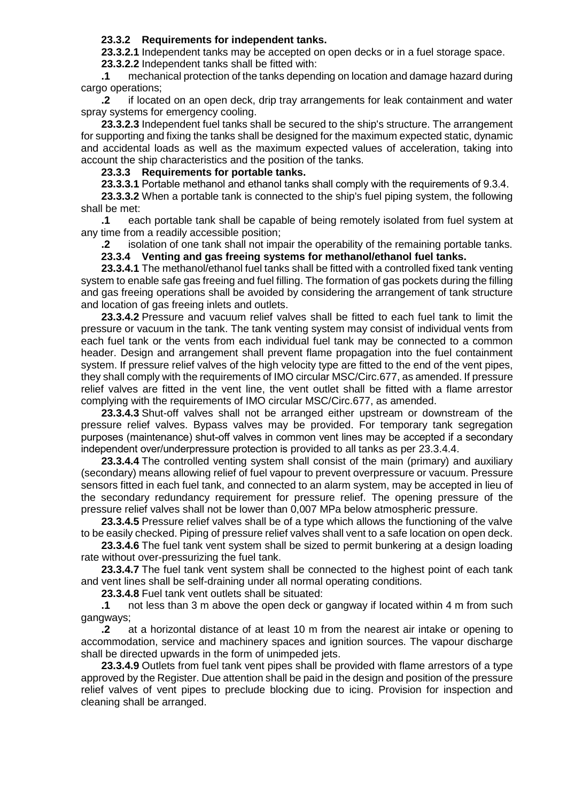## **23.3.2 Requirements for independent tanks.**

**23.3.2.1** Independent tanks may be accepted on open decks or in a fuel storage space.

**23.3.2.2** Independent tanks shall be fitted with:

**.1** mechanical protection of the tanks depending on location and damage hazard during cargo operations;

**.2** if located on an open deck, drip tray arrangements for leak containment and water spray systems for emergency cooling.

**23.3.2.3** Independent fuel tanks shall be secured to the ship's structure. The arrangement for supporting and fixing the tanks shall be designed for the maximum expected static, dynamic and accidental loads as well as the maximum expected values of acceleration, taking into account the ship characteristics and the position of the tanks.

# **23.3.3 Requirements for portable tanks.**

**23.3.3.1** Portable methanol and ethanol tanks shall comply with the requirements of 9.3.4.

**23.3.3.2** When a portable tank is connected to the ship's fuel piping system, the following shall be met:

**.1** each portable tank shall be capable of being remotely isolated from fuel system at any time from a readily accessible position;

**.2** isolation of one tank shall not impair the operability of the remaining portable tanks.

### **23.3.4 Venting and gas freeing systems for methanol/ethanol fuel tanks.**

**23.3.4.1** The methanol/ethanol fuel tanks shall be fitted with a controlled fixed tank venting system to enable safe gas freeing and fuel filling. The formation of gas pockets during the filling and gas freeing operations shall be avoided by considering the arrangement of tank structure and location of gas freeing inlets and outlets.

**23.3.4.2** Pressure and vacuum relief valves shall be fitted to each fuel tank to limit the pressure or vacuum in the tank. The tank venting system may consist of individual vents from each fuel tank or the vents from each individual fuel tank may be connected to a common header. Design and arrangement shall prevent flame propagation into the fuel containment system. If pressure relief valves of the high velocity type are fitted to the end of the vent pipes, they shall comply with the requirements of IMO circular MSC/Circ.677, as amended. If pressure relief valves are fitted in the vent line, the vent outlet shall be fitted with a flame arrestor complying with the requirements of IMO circular MSC/Circ.677, as amended.

**23.3.4.3** Shut-off valves shall not be arranged either upstream or downstream of the pressure relief valves. Bypass valves may be provided. For temporary tank segregation purposes (maintenance) shut-off valves in common vent lines may be accepted if a secondary independent over/underpressure protection is provided to all tanks as per 23.3.4.4.

**23.3.4.4** The controlled venting system shall consist of the main (primary) and auxiliary (secondary) means allowing relief of fuel vapour to prevent overpressure or vacuum. Pressure sensors fitted in each fuel tank, and connected to an alarm system, may be accepted in lieu of the secondary redundancy requirement for pressure relief. The opening pressure of the pressure relief valves shall not be lower than 0,007 MPa below atmospheric pressure.

**23.3.4.5** Pressure relief valves shall be of a type which allows the functioning of the valve to be easily checked. Piping of pressure relief valves shall vent to a safe location on open deck.

**23.3.4.6** The fuel tank vent system shall be sized to permit bunkering at a design loading rate without over-pressurizing the fuel tank.

**23.3.4.7** The fuel tank vent system shall be connected to the highest point of each tank and vent lines shall be self-draining under all normal operating conditions.

**23.3.4.8** Fuel tank vent outlets shall be situated:

**.1** not less than 3 m above the open deck or gangway if located within 4 m from such gangways;

**.2** at a horizontal distance of at least 10 m from the nearest air intake or opening to accommodation, service and machinery spaces and ignition sources. The vapour discharge shall be directed upwards in the form of unimpeded jets.

**23.3.4.9** Outlets from fuel tank vent pipes shall be provided with flame arrestors of a type approved by the Register. Due attention shall be paid in the design and position of the pressure relief valves of vent pipes to preclude blocking due to icing. Provision for inspection and cleaning shall be arranged.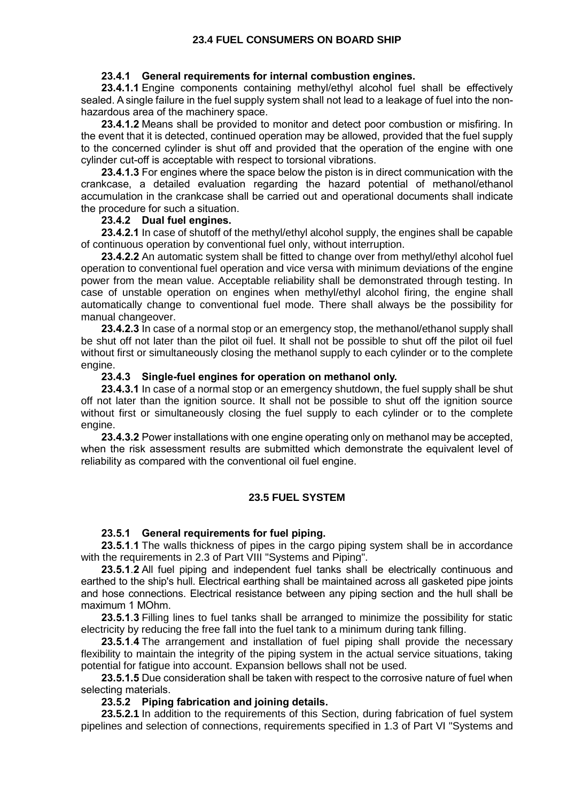### **23.4.1 General requirements for internal combustion engines.**

**23.4.1.1** Engine components containing methyl/ethyl alcohol fuel shall be effectively sealed. A single failure in the fuel supply system shall not lead to a leakage of fuel into the nonhazardous area of the machinery space.

**23.4.1.2** Means shall be provided to monitor and detect poor combustion or misfiring. In the event that it is detected, continued operation may be allowed, provided that the fuel supply to the concerned cylinder is shut off and provided that the operation of the engine with one cylinder cut-off is acceptable with respect to torsional vibrations.

**23.4.1.3** For engines where the space below the piston is in direct communication with the crankcase, a detailed evaluation regarding the hazard potential of methanol/ethanol accumulation in the crankcase shall be carried out and operational documents shall indicate the procedure for such a situation.

### **23.4.2 Dual fuel engines.**

**23.4.2.1** In case of shutoff of the methyl/ethyl alcohol supply, the engines shall be capable of continuous operation by conventional fuel only, without interruption.

**23.4.2.2** An automatic system shall be fitted to change over from methyl/ethyl alcohol fuel operation to conventional fuel operation and vice versa with minimum deviations of the engine power from the mean value. Acceptable reliability shall be demonstrated through testing. In case of unstable operation on engines when methyl/ethyl alcohol firing, the engine shall automatically change to conventional fuel mode. There shall always be the possibility for manual changeover.

**23.4.2.3** In case of a normal stop or an emergency stop, the methanol/ethanol supply shall be shut off not later than the pilot oil fuel. It shall not be possible to shut off the pilot oil fuel without first or simultaneously closing the methanol supply to each cylinder or to the complete engine.

### **23.4.3 Single-fuel engines for operation on methanol only.**

**23.4.3.1** In case of a normal stop or an emergency shutdown, the fuel supply shall be shut off not later than the ignition source. It shall not be possible to shut off the ignition source without first or simultaneously closing the fuel supply to each cylinder or to the complete engine.

**23.4.3.2** Power installations with one engine operating only on methanol may be accepted, when the risk assessment results are submitted which demonstrate the equivalent level of reliability as compared with the conventional oil fuel engine.

## **23.5 FUEL SYSTEM**

## **23.5.1 General requirements for fuel piping.**

**23.5.1**.**1** The walls thickness of pipes in the cargo piping system shall be in accordance with the requirements in 2.3 of Part VIII "Systems and Piping".

**23.5.1**.**2** All fuel piping and independent fuel tanks shall be electrically continuous and earthed to the ship's hull. Electrical earthing shall be maintained across all gasketed pipe joints and hose connections. Electrical resistance between any piping section and the hull shall be maximum 1 MOhm.

**23.5.1**.**3** Filling lines to fuel tanks shall be arranged to minimize the possibility for static electricity by reducing the free fall into the fuel tank to a minimum during tank filling.

**23.5.1**.**4** The arrangement and installation of fuel piping shall provide the necessary flexibility to maintain the integrity of the piping system in the actual service situations, taking potential for fatigue into account. Expansion bellows shall not be used.

**23.5.1.5** Due consideration shall be taken with respect to the corrosive nature of fuel when selecting materials.

#### **23.5.2 Piping fabrication and joining details.**

**23.5.2.1** In addition to the requirements of this Section, during fabrication of fuel system pipelines and selection of connections, requirements specified in 1.3 of Part VI "Systems and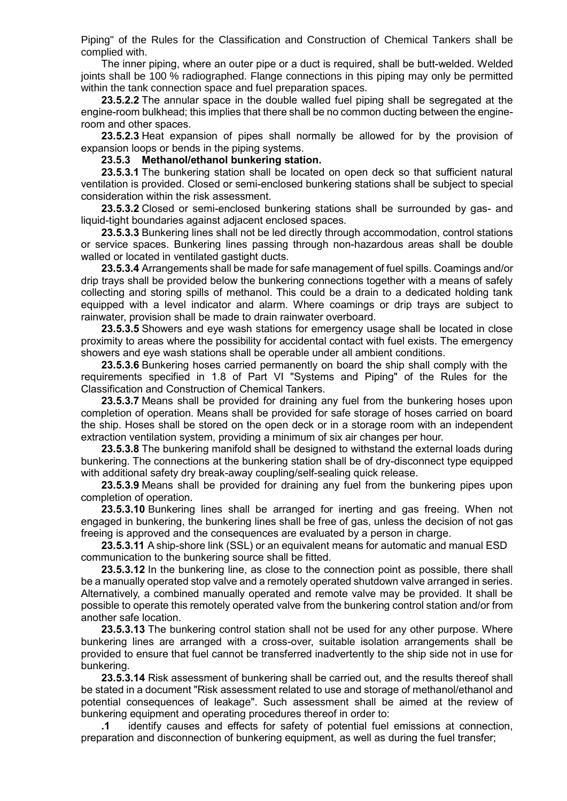Piping" of the Rules for the Classification and Construction of Chemical Tankers shall be complied with.

The inner piping, where an outer pipe or a duct is required, shall be butt-welded. Welded joints shall be 100 % radiographed. Flange connections in this piping may only be permitted within the tank connection space and fuel preparation spaces.

**23.5.2.2** The annular space in the double walled fuel piping shall be segregated at the engine-room bulkhead; this implies that there shall be no common ducting between the engineroom and other spaces.

**23.5.2.3** Heat expansion of pipes shall normally be allowed for by the provision of expansion loops or bends in the piping systems.

**23.5.3 Methanol/ethanol bunkering station.**

**23.5.3.1** The bunkering station shall be located on open deck so that sufficient natural ventilation is provided. Closed or semi-enclosed bunkering stations shall be subject to special consideration within the risk assessment.

**23.5.3.2** Closed or semi-enclosed bunkering stations shall be surrounded by gas- and liquid-tight boundaries against adjacent enclosed spaces.

**23.5.3.3** Bunkering lines shall not be led directly through accommodation, control stations or service spaces. Bunkering lines passing through non-hazardous areas shall be double walled or located in ventilated gastight ducts.

**23.5.3.4** Arrangements shall be made for safe management of fuel spills. Coamings and/or drip trays shall be provided below the bunkering connections together with a means of safely collecting and storing spills of methanol. This could be a drain to a dedicated holding tank equipped with a level indicator and alarm. Where coamings or drip trays are subject to rainwater, provision shall be made to drain rainwater overboard.

**23.5.3.5** Showers and eye wash stations for emergency usage shall be located in close proximity to areas where the possibility for accidental contact with fuel exists. The emergency showers and eye wash stations shall be operable under all ambient conditions.

**23.5.3.6** Bunkering hoses carried permanently on board the ship shall comply with the requirements specified in 1.8 of Part VI "Systems and Piping" of the Rules for the Classification and Construction of Chemical Tankers.

**23.5.3.7** Means shall be provided for draining any fuel from the bunkering hoses upon completion of operation. Means shall be provided for safe storage of hoses carried on board the ship. Hoses shall be stored on the open deck or in a storage room with an independent extraction ventilation system, providing a minimum of six air changes per hour.

**23.5.3.8** The bunkering manifold shall be designed to withstand the external loads during bunkering. The connections at the bunkering station shall be of dry-disconnect type equipped with additional safety dry break-away coupling/self-sealing quick release.

**23.5.3.9** Means shall be provided for draining any fuel from the bunkering pipes upon completion of operation.

**23.5.3.10** Bunkering lines shall be arranged for inerting and gas freeing. When not engaged in bunkering, the bunkering lines shall be free of gas, unless the decision of not gas freeing is approved and the consequences are evaluated by a person in charge.

**23.5.3.11** A ship-shore link (SSL) or an equivalent means for automatic and manual ESD communication to the bunkering source shall be fitted.

**23.5.3.12** In the bunkering line, as close to the connection point as possible, there shall be a manually operated stop valve and a remotely operated shutdown valve arranged in series. Alternatively, a combined manually operated and remote valve may be provided. It shall be possible to operate this remotely operated valve from the bunkering control station and/or from another safe location.

**23.5.3.13** The bunkering control station shall not be used for any other purpose. Where bunkering lines are arranged with a cross-over, suitable isolation arrangements shall be provided to ensure that fuel cannot be transferred inadvertently to the ship side not in use for bunkering.

**23.5.3.14** Risk assessment of bunkering shall be carried out, and the results thereof shall be stated in a document "Risk assessment related to use and storage of methanol/ethanol and potential consequences of leakage". Such assessment shall be aimed at the review of bunkering equipment and operating procedures thereof in order to:

**.1** identify causes and effects for safety of potential fuel emissions at connection, preparation and disconnection of bunkering equipment, as well as during the fuel transfer;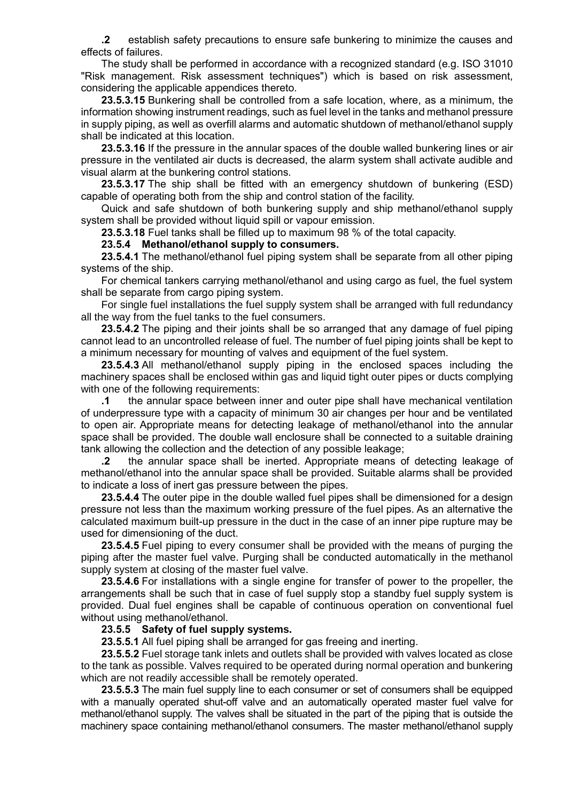**.2** establish safety precautions to ensure safe bunkering to minimize the causes and effects of failures.

The study shall be performed in accordance with a recognized standard (e.g. ISO 31010 "Risk management. Risk assessment techniques") which is based on risk assessment, considering the applicable appendices thereto.

**23.5.3.15** Bunkering shall be controlled from a safe location, where, as a minimum, the information showing instrument readings, such as fuel level in the tanks and methanol pressure in supply piping, as well as overfill alarms and automatic shutdown of methanol/ethanol supply shall be indicated at this location.

**23.5.3.16** If the pressure in the annular spaces of the double walled bunkering lines or air pressure in the ventilated air ducts is decreased, the alarm system shall activate audible and visual alarm at the bunkering control stations.

**23.5.3.17** The ship shall be fitted with an emergency shutdown of bunkering (ESD) capable of operating both from the ship and control station of the facility.

Quick and safe shutdown of both bunkering supply and ship methanol/ethanol supply system shall be provided without liquid spill or vapour emission.

**23.5.3.18** Fuel tanks shall be filled up to maximum 98 % of the total capacity.

**23.5.4 Methanol/ethanol supply to consumers.**

**23.5.4.1** The methanol/ethanol fuel piping system shall be separate from all other piping systems of the ship.

For chemical tankers carrying methanol/ethanol and using cargo as fuel, the fuel system shall be separate from cargo piping system.

For single fuel installations the fuel supply system shall be arranged with full redundancy all the way from the fuel tanks to the fuel consumers.

**23.5.4.2** The piping and their joints shall be so arranged that any damage of fuel piping cannot lead to an uncontrolled release of fuel. The number of fuel piping joints shall be kept to a minimum necessary for mounting of valves and equipment of the fuel system.

**23.5.4.3** All methanol/ethanol supply piping in the enclosed spaces including the machinery spaces shall be enclosed within gas and liquid tight outer pipes or ducts complying with one of the following requirements:

**.1** the annular space between inner and outer pipe shall have mechanical ventilation of underpressure type with a capacity of minimum 30 air changes per hour and be ventilated to open air. Appropriate means for detecting leakage of methanol/ethanol into the annular space shall be provided. The double wall enclosure shall be connected to a suitable draining tank allowing the collection and the detection of any possible leakage;

**.2** the annular space shall be inerted. Appropriate means of detecting leakage of methanol/ethanol into the annular space shall be provided. Suitable alarms shall be provided to indicate a loss of inert gas pressure between the pipes.

**23.5.4.4** The outer pipe in the double walled fuel pipes shall be dimensioned for a design pressure not less than the maximum working pressure of the fuel pipes. As an alternative the calculated maximum built-up pressure in the duct in the case of an inner pipe rupture may be used for dimensioning of the duct.

**23.5.4.5** Fuel piping to every consumer shall be provided with the means of purging the piping after the master fuel valve. Purging shall be conducted automatically in the methanol supply system at closing of the master fuel valve.

**23.5.4.6** For installations with a single engine for transfer of power to the propeller, the arrangements shall be such that in case of fuel supply stop a standby fuel supply system is provided. Dual fuel engines shall be capable of continuous operation on conventional fuel without using methanol/ethanol.

### **23.5.5 Safety of fuel supply systems.**

**23.5.5.1** All fuel piping shall be arranged for gas freeing and inerting.

**23.5.5.2** Fuel storage tank inlets and outlets shall be provided with valves located as close to the tank as possible. Valves required to be operated during normal operation and bunkering which are not readily accessible shall be remotely operated.

**23.5.5.3** The main fuel supply line to each consumer or set of consumers shall be equipped with a manually operated shut-off valve and an automatically operated master fuel valve for methanol/ethanol supply. The valves shall be situated in the part of the piping that is outside the machinery space containing methanol/ethanol consumers. The master methanol/ethanol supply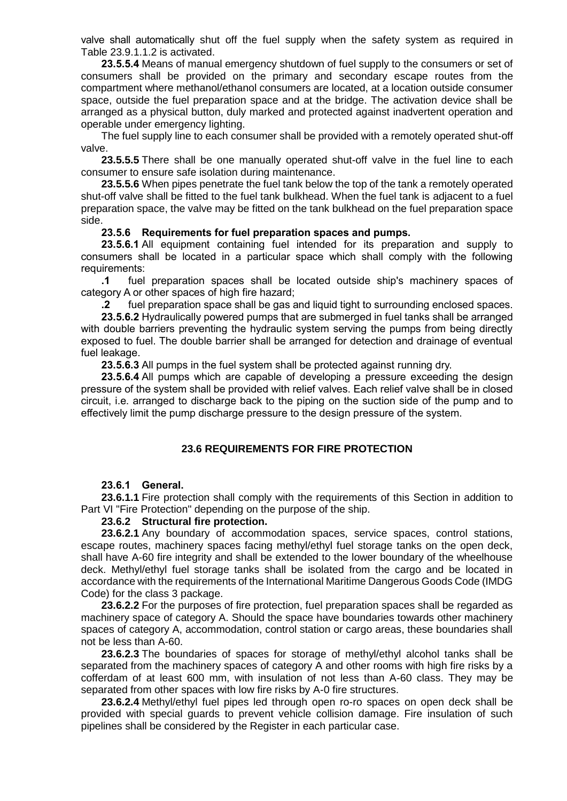valve shall automatically shut off the fuel supply when the safety system as required in Table 23.9.1.1.2 is activated.

**23.5.5.4** Means of manual emergency shutdown of fuel supply to the consumers or set of consumers shall be provided on the primary and secondary escape routes from the compartment where methanol/ethanol consumers are located, at a location outside consumer space, outside the fuel preparation space and at the bridge. The activation device shall be arranged as a physical button, duly marked and protected against inadvertent operation and operable under emergency lighting.

The fuel supply line to each consumer shall be provided with a remotely operated shut-off valve.

**23.5.5.5** There shall be one manually operated shut-off valve in the fuel line to each consumer to ensure safe isolation during maintenance.

**23.5.5.6** When pipes penetrate the fuel tank below the top of the tank a remotely operated shut-off valve shall be fitted to the fuel tank bulkhead. When the fuel tank is adjacent to a fuel preparation space, the valve may be fitted on the tank bulkhead on the fuel preparation space side.

#### **23.5.6 Requirements for fuel preparation spaces and pumps.**

**23.5.6.1** All equipment containing fuel intended for its preparation and supply to consumers shall be located in a particular space which shall comply with the following requirements:

**.1** fuel preparation spaces shall be located outside ship's machinery spaces of category A or other spaces of high fire hazard;

**.2** fuel preparation space shall be gas and liquid tight to surrounding enclosed spaces.

**23.5.6.2** Hydraulically powered pumps that are submerged in fuel tanks shall be arranged with double barriers preventing the hydraulic system serving the pumps from being directly exposed to fuel. The double barrier shall be arranged for detection and drainage of eventual fuel leakage.

**23.5.6.3** All pumps in the fuel system shall be protected against running dry.

**23.5.6.4** All pumps which are capable of developing a pressure exceeding the design pressure of the system shall be provided with relief valves. Each relief valve shall be in closed circuit, i.e. arranged to discharge back to the piping on the suction side of the pump and to effectively limit the pump discharge pressure to the design pressure of the system.

#### **23.6 REQUIREMENTS FOR FIRE PROTECTION**

#### **23.6.1 General.**

**23.6.1.1** Fire protection shall comply with the requirements of this Section in addition to Part VI "Fire Protection" depending on the purpose of the ship.

#### **23.6.2 Structural fire protection.**

**23.6.2.1** Any boundary of accommodation spaces, service spaces, control stations, escape routes, machinery spaces facing methyl/ethyl fuel storage tanks on the open deck, shall have A-60 fire integrity and shall be extended to the lower boundary of the wheelhouse deck. Methyl/ethyl fuel storage tanks shall be isolated from the cargo and be located in accordance with the requirements of the International Maritime Dangerous Goods Code (IMDG Code) for the class 3 package.

**23.6.2.2** For the purposes of fire protection, fuel preparation spaces shall be regarded as machinery space of category A. Should the space have boundaries towards other machinery spaces of category A, accommodation, control station or cargo areas, these boundaries shall not be less than A-60.

**23.6.2.3** The boundaries of spaces for storage of methyl/ethyl alcohol tanks shall be separated from the machinery spaces of category A and other rooms with high fire risks by a cofferdam of at least 600 mm, with insulation of not less than A-60 class. They may be separated from other spaces with low fire risks by A-0 fire structures.

**23.6.2.4** Methyl/ethyl fuel pipes led through open ro-ro spaces on open deck shall be provided with special guards to prevent vehicle collision damage. Fire insulation of such pipelines shall be considered by the Register in each particular case.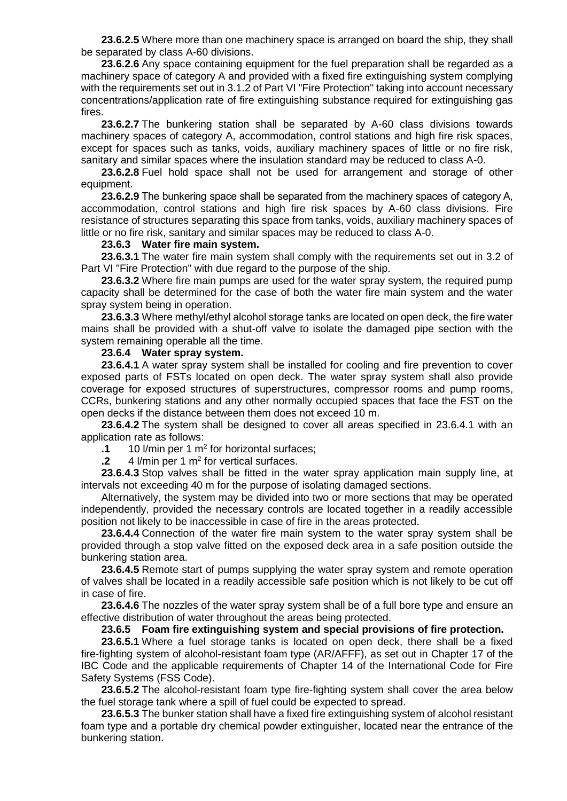**23.6.2.5** Where more than one machinery space is arranged on board the ship, they shall be separated by class A-60 divisions.

**23.6.2.6** Any space containing equipment for the fuel preparation shall be regarded as a machinery space of category A and provided with a fixed fire extinguishing system complying with the requirements set out in 3.1.2 of Part VI "Fire Protection" taking into account necessary concentrations/application rate of fire extinguishing substance required for extinguishing gas fires.

**23.6.2.7** The bunkering station shall be separated by A-60 class divisions towards machinery spaces of category A, accommodation, control stations and high fire risk spaces, except for spaces such as tanks, voids, auxiliary machinery spaces of little or no fire risk, sanitary and similar spaces where the insulation standard may be reduced to class A-0.

**23.6.2.8** Fuel hold space shall not be used for arrangement and storage of other equipment.

**23.6.2.9** The bunkering space shall be separated from the machinery spaces of category A, accommodation, control stations and high fire risk spaces by A-60 class divisions. Fire resistance of structures separating this space from tanks, voids, auxiliary machinery spaces of little or no fire risk, sanitary and similar spaces may be reduced to class A-0.

## **23.6.3 Water fire main system.**

**23.6.3.1** The water fire main system shall comply with the requirements set out in 3.2 of Part VI "Fire Protection" with due regard to the purpose of the ship.

**23.6.3.2** Where fire main pumps are used for the water spray system, the required pump capacity shall be determined for the case of both the water fire main system and the water spray system being in operation.

**23.6.3.3** Where methyl/ethyl alcohol storage tanks are located on open deck, the fire water mains shall be provided with a shut-off valve to isolate the damaged pipe section with the system remaining operable all the time.

#### **23.6.4 Water spray system.**

**23.6.4.1** A water spray system shall be installed for cooling and fire prevention to cover exposed parts of FSTs located on open deck. The water spray system shall also provide coverage for exposed structures of superstructures, compressor rooms and pump rooms, CCRs, bunkering stations and any other normally occupied spaces that face the FST on the open decks if the distance between them does not exceed 10 m.

**23.6.4.2** The system shall be designed to cover all areas specified in 23.6.4.1 with an application rate as follows:

**.1** 10 l/min per 1 m<sup>2</sup> for horizontal surfaces;

**.2** 4 l/min per 1 m<sup>2</sup> for vertical surfaces.

**23.6.4.3** Stop valves shall be fitted in the water spray application main supply line, at intervals not exceeding 40 m for the purpose of isolating damaged sections.

Alternatively, the system may be divided into two or more sections that may be operated independently, provided the necessary controls are located together in a readily accessible position not likely to be inaccessible in case of fire in the areas protected.

**23.6.4.4** Connection of the water fire main system to the water spray system shall be provided through a stop valve fitted on the exposed deck area in a safe position outside the bunkering station area.

**23.6.4.5** Remote start of pumps supplying the water spray system and remote operation of valves shall be located in a readily accessible safe position which is not likely to be cut off in case of fire.

**23.6.4.6** The nozzles of the water spray system shall be of a full bore type and ensure an effective distribution of water throughout the areas being protected.

### **23.6.5 Foam fire extinguishing system and special provisions of fire protection.**

**23.6.5.1** Where a fuel storage tanks is located on open deck, there shall be a fixed fire-fighting system of alcohol-resistant foam type (AR/AFFF), as set out in Chapter 17 of the IBC Code and the applicable requirements of Chapter 14 of the International Code for Fire Safety Systems (FSS Code).

**23.6.5.2** The alcohol-resistant foam type fire-fighting system shall cover the area below the fuel storage tank where a spill of fuel could be expected to spread.

**23.6.5.3** The bunker station shall have a fixed fire extinguishing system of alcohol resistant foam type and a portable dry chemical powder extinguisher, located near the entrance of the bunkering station.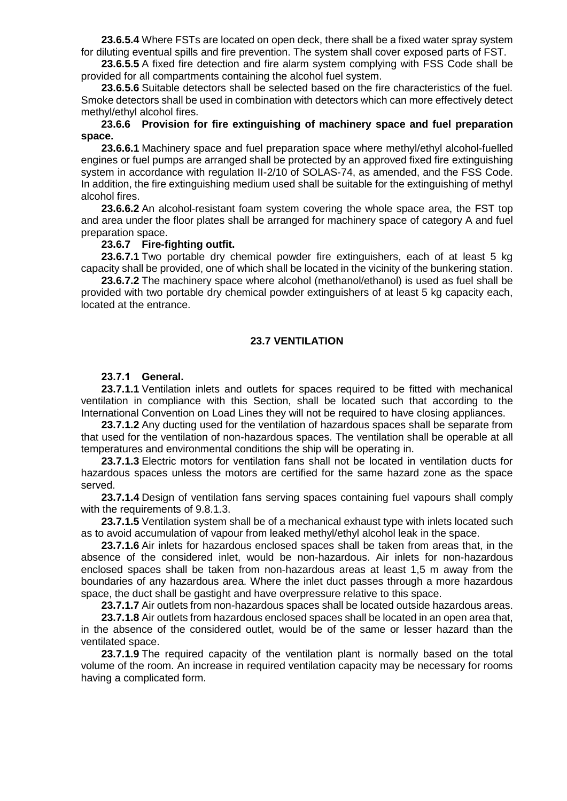**23.6.5.4** Where FSTs are located on open deck, there shall be a fixed water spray system for diluting eventual spills and fire prevention. The system shall cover exposed parts of FST.

**23.6.5.5** A fixed fire detection and fire alarm system complying with FSS Code shall be provided for all compartments containing the alcohol fuel system.

**23.6.5.6** Suitable detectors shall be selected based on the fire characteristics of the fuel. Smoke detectors shall be used in combination with detectors which can more effectively detect methyl/ethyl alcohol fires.

#### **23.6.6 Provision for fire extinguishing of machinery space and fuel preparation space.**

**23.6.6.1** Machinery space and fuel preparation space where methyl/ethyl alcohol-fuelled engines or fuel pumps are arranged shall be protected by an approved fixed fire extinguishing system in accordance with regulation II-2/10 of SOLAS-74, as amended, and the FSS Code. In addition, the fire extinguishing medium used shall be suitable for the extinguishing of methyl alcohol fires.

**23.6.6.2** An alcohol-resistant foam system covering the whole space area, the FST top and area under the floor plates shall be arranged for machinery space of category A and fuel preparation space.

### **23.6.7 Fire-fighting outfit.**

**23.6.7.1** Two portable dry chemical powder fire extinguishers, each of at least 5 kg capacity shall be provided, one of which shall be located in the vicinity of the bunkering station.

**23.6.7.2** The machinery space where alcohol (methanol/ethanol) is used as fuel shall be provided with two portable dry chemical powder extinguishers of at least 5 kg capacity each, located at the entrance.

#### **23.7 VENTILATION**

#### **23.7.1 General.**

**23.7.1.1** Ventilation inlets and outlets for spaces required to be fitted with mechanical ventilation in compliance with this Section, shall be located such that according to the International Convention on Load Lines they will not be required to have closing appliances.

**23.7.1.2** Any ducting used for the ventilation of hazardous spaces shall be separate from that used for the ventilation of non-hazardous spaces. The ventilation shall be operable at all temperatures and environmental conditions the ship will be operating in.

**23.7.1.3** Electric motors for ventilation fans shall not be located in ventilation ducts for hazardous spaces unless the motors are certified for the same hazard zone as the space served.

**23.7.1.4** Design of ventilation fans serving spaces containing fuel vapours shall comply with the requirements of 9.8.1.3.

**23.7.1.5** Ventilation system shall be of a mechanical exhaust type with inlets located such as to avoid accumulation of vapour from leaked methyl/ethyl alcohol leak in the space.

**23.7.1.6** Air inlets for hazardous enclosed spaces shall be taken from areas that, in the absence of the considered inlet, would be non-hazardous. Air inlets for non-hazardous enclosed spaces shall be taken from non-hazardous areas at least 1,5 m away from the boundaries of any hazardous area. Where the inlet duct passes through a more hazardous space, the duct shall be gastight and have overpressure relative to this space.

**23.7.1.7** Air outlets from non-hazardous spaces shall be located outside hazardous areas.

**23.7.1.8** Air outlets from hazardous enclosed spaces shall be located in an open area that, in the absence of the considered outlet, would be of the same or lesser hazard than the ventilated space.

**23.7.1.9** The required capacity of the ventilation plant is normally based on the total volume of the room. An increase in required ventilation capacity may be necessary for rooms having a complicated form.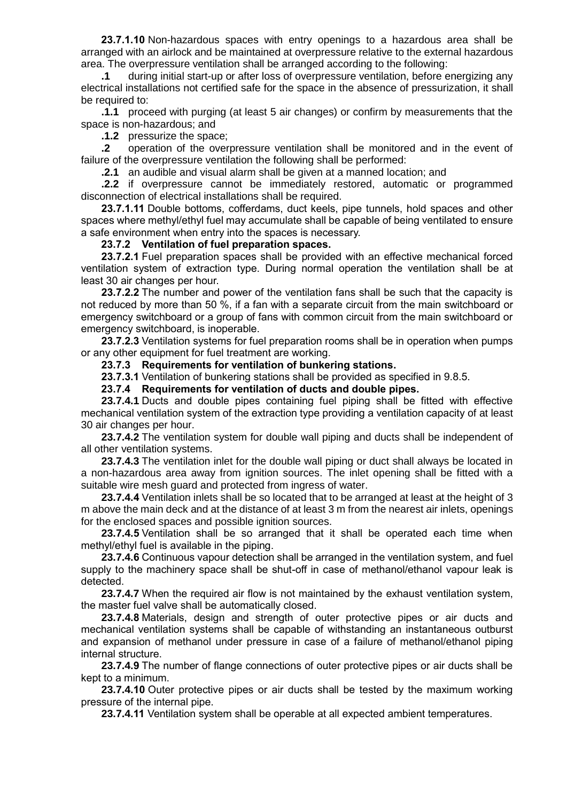**23.7.1.10** Non-hazardous spaces with entry openings to a hazardous area shall be arranged with an airlock and be maintained at overpressure relative to the external hazardous area. The overpressure ventilation shall be arranged according to the following:

**.1** during initial start-up or after loss of overpressure ventilation, before energizing any electrical installations not certified safe for the space in the absence of pressurization, it shall be required to:

**.1.1** proceed with purging (at least 5 air changes) or confirm by measurements that the space is non-hazardous; and

**.1.2** pressurize the space;

**.2** operation of the overpressure ventilation shall be monitored and in the event of failure of the overpressure ventilation the following shall be performed:

**.2.1** an audible and visual alarm shall be given at a manned location; and

**.2.2** if overpressure cannot be immediately restored, automatic or programmed disconnection of electrical installations shall be required.

**23.7.1.11** Double bottoms, cofferdams, duct keels, pipe tunnels, hold spaces and other spaces where methyl/ethyl fuel may accumulate shall be capable of being ventilated to ensure a safe environment when entry into the spaces is necessary.

### **23.7.2 Ventilation of fuel preparation spaces.**

**23.7.2.1** Fuel preparation spaces shall be provided with an effective mechanical forced ventilation system of extraction type. During normal operation the ventilation shall be at least 30 air changes per hour.

**23.7.2.2** The number and power of the ventilation fans shall be such that the capacity is not reduced by more than 50 %, if a fan with a separate circuit from the main switchboard or emergency switchboard or a group of fans with common circuit from the main switchboard or emergency switchboard, is inoperable.

**23.7.2.3** Ventilation systems for fuel preparation rooms shall be in operation when pumps or any other equipment for fuel treatment are working.

**23.7.3 Requirements for ventilation of bunkering stations.**

**23.7.3.1** Ventilation of bunkering stations shall be provided as specified in 9.8.5.

**23.7.4 Requirements for ventilation of ducts and double pipes.**

**23.7.4.1** Ducts and double pipes containing fuel piping shall be fitted with effective mechanical ventilation system of the extraction type providing a ventilation capacity of at least 30 air changes per hour.

**23.7.4.2** The ventilation system for double wall piping and ducts shall be independent of all other ventilation systems.

**23.7.4.3** The ventilation inlet for the double wall piping or duct shall always be located in a non-hazardous area away from ignition sources. The inlet opening shall be fitted with a suitable wire mesh guard and protected from ingress of water.

**23.7.4.4** Ventilation inlets shall be so located that to be arranged at least at the height of 3 m above the main deck and at the distance of at least 3 m from the nearest air inlets, openings for the enclosed spaces and possible ignition sources.

**23.7.4.5** Ventilation shall be so arranged that it shall be operated each time when methyl/ethyl fuel is available in the piping.

**23.7.4.6** Continuous vapour detection shall be arranged in the ventilation system, and fuel supply to the machinery space shall be shut-off in case of methanol/ethanol vapour leak is detected.

**23.7.4.7** When the required air flow is not maintained by the exhaust ventilation system, the master fuel valve shall be automatically closed.

**23.7.4.8** Materials, design and strength of outer protective pipes or air ducts and mechanical ventilation systems shall be capable of withstanding an instantaneous outburst and expansion of methanol under pressure in case of a failure of methanol/ethanol piping internal structure.

**23.7.4.9** The number of flange connections of outer protective pipes or air ducts shall be kept to a minimum.

**23.7.4.10** Outer protective pipes or air ducts shall be tested by the maximum working pressure of the internal pipe.

**23.7.4.11** Ventilation system shall be operable at all expected ambient temperatures.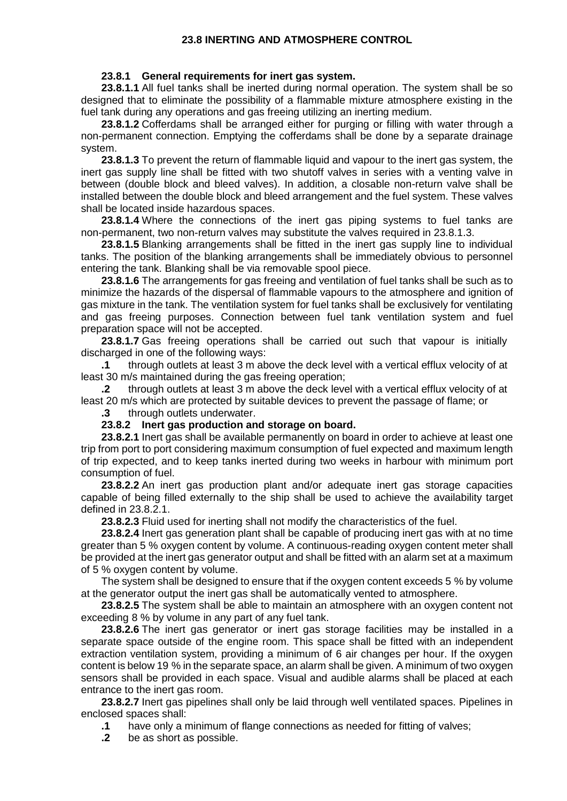### **23.8 INERTING AND ATMOSPHERE CONTROL**

#### **23.8.1 General requirements for inert gas system.**

**23.8.1.1** All fuel tanks shall be inerted during normal operation. The system shall be so designed that to eliminate the possibility of a flammable mixture atmosphere existing in the fuel tank during any operations and gas freeing utilizing an inerting medium.

**23.8.1.2** Cofferdams shall be arranged either for purging or filling with water through a non-permanent connection. Emptying the cofferdams shall be done by a separate drainage system.

**23.8.1.3** To prevent the return of flammable liquid and vapour to the inert gas system, the inert gas supply line shall be fitted with two shutoff valves in series with a venting valve in between (double block and bleed valves). In addition, a closable non-return valve shall be installed between the double block and bleed arrangement and the fuel system. These valves shall be located inside hazardous spaces.

**23.8.1.4** Where the connections of the inert gas piping systems to fuel tanks are non-permanent, two non-return valves may substitute the valves required in 23.8.1.3.

**23.8.1.5** Blanking arrangements shall be fitted in the inert gas supply line to individual tanks. The position of the blanking arrangements shall be immediately obvious to personnel entering the tank. Blanking shall be via removable spool piece.

**23.8.1.6** The arrangements for gas freeing and ventilation of fuel tanks shall be such as to minimize the hazards of the dispersal of flammable vapours to the atmosphere and ignition of gas mixture in the tank. The ventilation system for fuel tanks shall be exclusively for ventilating and gas freeing purposes. Connection between fuel tank ventilation system and fuel preparation space will not be accepted.

**23.8.1.7** Gas freeing operations shall be carried out such that vapour is initially discharged in one of the following ways:

**.1** through outlets at least 3 m above the deck level with a vertical efflux velocity of at least 30 m/s maintained during the gas freeing operation;

**.2** through outlets at least 3 m above the deck level with a vertical efflux velocity of at least 20 m/s which are protected by suitable devices to prevent the passage of flame; or

**.3** through outlets underwater.

#### **23.8.2 Inert gas production and storage on board.**

**23.8.2.1** Inert gas shall be available permanently on board in order to achieve at least one trip from port to port considering maximum consumption of fuel expected and maximum length of trip expected, and to keep tanks inerted during two weeks in harbour with minimum port consumption of fuel.

**23.8.2.2** An inert gas production plant and/or adequate inert gas storage capacities capable of being filled externally to the ship shall be used to achieve the availability target defined in 23.8.2.1.

**23.8.2.3** Fluid used for inerting shall not modify the characteristics of the fuel.

**23.8.2.4** Inert gas generation plant shall be capable of producing inert gas with at no time greater than 5 % oxygen content by volume. A continuous-reading oxygen content meter shall be provided at the inert gas generator output and shall be fitted with an alarm set at a maximum of 5 % oxygen content by volume.

The system shall be designed to ensure that if the oxygen content exceeds 5 % by volume at the generator output the inert gas shall be automatically vented to atmosphere.

**23.8.2.5** The system shall be able to maintain an atmosphere with an oxygen content not exceeding 8 % by volume in any part of any fuel tank.

**23.8.2.6** The inert gas generator or inert gas storage facilities may be installed in a separate space outside of the engine room. This space shall be fitted with an independent extraction ventilation system, providing a minimum of 6 air changes per hour. If the oxygen content is below 19 % in the separate space, an alarm shall be given. A minimum of two oxygen sensors shall be provided in each space. Visual and audible alarms shall be placed at each entrance to the inert gas room.

**23.8.2.7** Inert gas pipelines shall only be laid through well ventilated spaces. Pipelines in enclosed spaces shall:

- **.1** have only a minimum of flange connections as needed for fitting of valves;
- **.2** be as short as possible.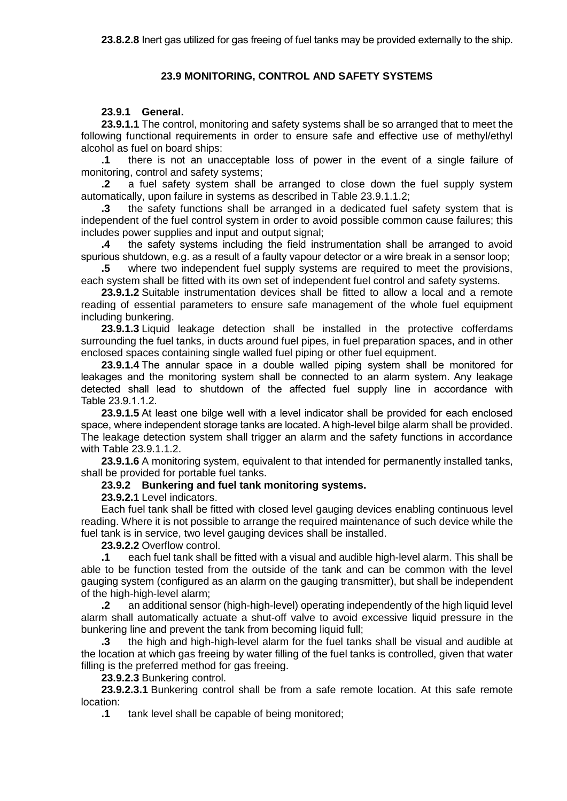# **23.9 MONITORING, CONTROL AND SAFETY SYSTEMS**

### **23.9.1 General.**

**23.9.1.1** The control, monitoring and safety systems shall be so arranged that to meet the following functional requirements in order to ensure safe and effective use of methyl/ethyl alcohol as fuel on board ships:

**.1** there is not an unacceptable loss of power in the event of a single failure of monitoring, control and safety systems;

**.2** a fuel safety system shall be arranged to close down the fuel supply system automatically, upon failure in systems as described in Table 23.9.1.1.2;

**.3** the safety functions shall be arranged in a dedicated fuel safety system that is independent of the fuel control system in order to avoid possible common cause failures; this includes power supplies and input and output signal;

**.4** the safety systems including the field instrumentation shall be arranged to avoid spurious shutdown, e.g. as a result of a faulty vapour detector or a wire break in a sensor loop;

**.5** where two independent fuel supply systems are required to meet the provisions, each system shall be fitted with its own set of independent fuel control and safety systems.

**23.9.1.2** Suitable instrumentation devices shall be fitted to allow a local and a remote reading of essential parameters to ensure safe management of the whole fuel equipment including bunkering.

**23.9.1.3** Liquid leakage detection shall be installed in the protective cofferdams surrounding the fuel tanks, in ducts around fuel pipes, in fuel preparation spaces, and in other enclosed spaces containing single walled fuel piping or other fuel equipment.

**23.9.1.4** The annular space in a double walled piping system shall be monitored for leakages and the monitoring system shall be connected to an alarm system. Any leakage detected shall lead to shutdown of the affected fuel supply line in accordance with Table 23.9.1.1.2.

**23.9.1.5** At least one bilge well with a level indicator shall be provided for each enclosed space, where independent storage tanks are located. A high-level bilge alarm shall be provided. The leakage detection system shall trigger an alarm and the safety functions in accordance with Table 23.9.1.1.2.

**23.9.1.6** A monitoring system, equivalent to that intended for permanently installed tanks, shall be provided for portable fuel tanks.

### **23.9.2 Bunkering and fuel tank monitoring systems.**

**23.9.2.1** Level indicators.

Each fuel tank shall be fitted with closed level gauging devices enabling continuous level reading. Where it is not possible to arrange the required maintenance of such device while the fuel tank is in service, two level gauging devices shall be installed.

**23.9.2.2** Overflow control.

**.1** each fuel tank shall be fitted with a visual and audible high-level alarm. This shall be able to be function tested from the outside of the tank and can be common with the level gauging system (configured as an alarm on the gauging transmitter), but shall be independent of the high-high-level alarm;

**.2** an additional sensor (high-high-level) operating independently of the high liquid level alarm shall automatically actuate a shut-off valve to avoid excessive liquid pressure in the bunkering line and prevent the tank from becoming liquid full;

**.3** the high and high-high-level alarm for the fuel tanks shall be visual and audible at the location at which gas freeing by water filling of the fuel tanks is controlled, given that water filling is the preferred method for gas freeing.

**23.9.2.3** Bunkering control.

**23.9.2.3.1** Bunkering control shall be from a safe remote location. At this safe remote location:

**.1** tank level shall be capable of being monitored;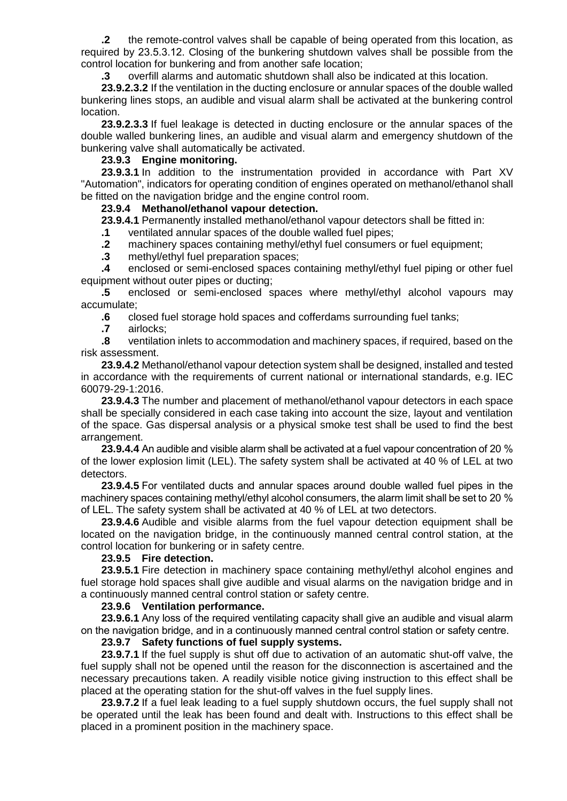**.2** the remote-control valves shall be capable of being operated from this location, as required by 23.5.3.12. Closing of the bunkering shutdown valves shall be possible from the control location for bunkering and from another safe location;

**.3** overfill alarms and automatic shutdown shall also be indicated at this location.

**23.9.2.3.2** If the ventilation in the ducting enclosure or annular spaces of the double walled bunkering lines stops, an audible and visual alarm shall be activated at the bunkering control location.

**23.9.2.3.3** If fuel leakage is detected in ducting enclosure or the annular spaces of the double walled bunkering lines, an audible and visual alarm and emergency shutdown of the bunkering valve shall automatically be activated.

### **23.9.3 Engine monitoring.**

**23.9.3.1** In addition to the instrumentation provided in accordance with Part XV "Automation", indicators for operating condition of engines operated on methanol/ethanol shall be fitted on the navigation bridge and the engine control room.

#### **23.9.4 Methanol/ethanol vapour detection.**

**23.9.4.1** Permanently installed methanol/ethanol vapour detectors shall be fitted in:

**.1** ventilated annular spaces of the double walled fuel pipes;

**.2** machinery spaces containing methyl/ethyl fuel consumers or fuel equipment;

**.3** methyl/ethyl fuel preparation spaces;

**.4** enclosed or semi-enclosed spaces containing methyl/ethyl fuel piping or other fuel equipment without outer pipes or ducting;

**.5** enclosed or semi-enclosed spaces where methyl/ethyl alcohol vapours may accumulate;

**.6** closed fuel storage hold spaces and cofferdams surrounding fuel tanks;

**.7** airlocks;

**.8** ventilation inlets to accommodation and machinery spaces, if required, based on the risk assessment.

**23.9.4.2** Methanol/ethanol vapour detection system shall be designed, installed and tested in accordance with the requirements of current national or international standards, e.g. IEC 60079-29-1:2016.

**23.9.4.3** The number and placement of methanol/ethanol vapour detectors in each space shall be specially considered in each case taking into account the size, layout and ventilation of the space. Gas dispersal analysis or a physical smoke test shall be used to find the best arrangement.

**23.9.4.4** An audible and visible alarm shall be activated at a fuel vapour concentration of 20 % of the lower explosion limit (LEL). The safety system shall be activated at 40 % of LEL at two detectors.

**23.9.4.5** For ventilated ducts and annular spaces around double walled fuel pipes in the machinery spaces containing methyl/ethyl alcohol consumers, the alarm limit shall be set to 20 % of LEL. The safety system shall be activated at 40 % of LEL at two detectors.

**23.9.4.6** Audible and visible alarms from the fuel vapour detection equipment shall be located on the navigation bridge, in the continuously manned central control station, at the control location for bunkering or in safety centre.

#### **23.9.5 Fire detection.**

**23.9.5.1** Fire detection in machinery space containing methyl/ethyl alcohol engines and fuel storage hold spaces shall give audible and visual alarms on the navigation bridge and in a continuously manned central control station or safety centre.

#### **23.9.6 Ventilation performance.**

**23.9.6.1** Any loss of the required ventilating capacity shall give an audible and visual alarm on the navigation bridge, and in a continuously manned central control station or safety centre.

#### **23.9.7 Safety functions of fuel supply systems.**

**23.9.7.1** If the fuel supply is shut off due to activation of an automatic shut-off valve, the fuel supply shall not be opened until the reason for the disconnection is ascertained and the necessary precautions taken. A readily visible notice giving instruction to this effect shall be placed at the operating station for the shut-off valves in the fuel supply lines.

23.9.7.2 If a fuel leak leading to a fuel supply shutdown occurs, the fuel supply shall not be operated until the leak has been found and dealt with. Instructions to this effect shall be placed in a prominent position in the machinery space.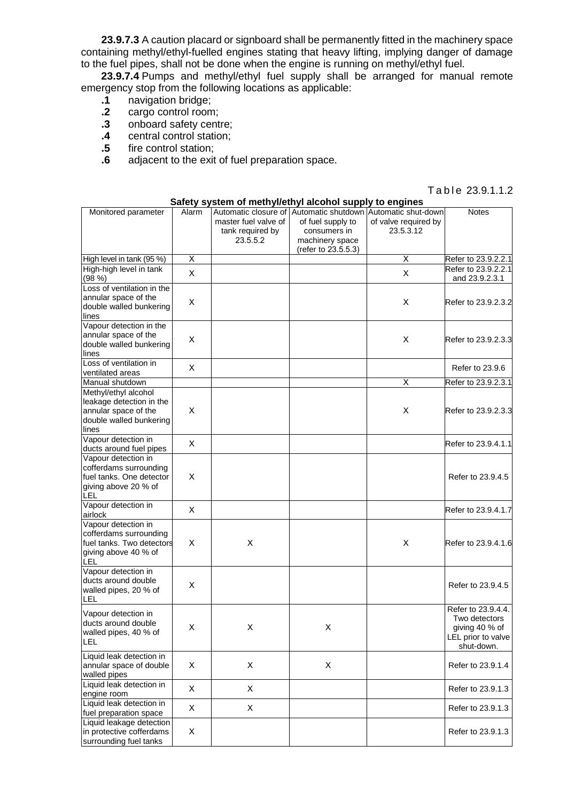**23.9.7.3** A caution placard or signboard shall be permanently fitted in the machinery space containing methyl/ethyl-fuelled engines stating that heavy lifting, implying danger of damage to the fuel pipes, shall not be done when the engine is running on methyl/ethyl fuel.

**23.9.7.4** Pumps and methyl/ethyl fuel supply shall be arranged for manual remote emergency stop from the following locations as applicable:

- 
- **.1** navigation bridge; **.2** cargo control room;
- **.3** onboard safety centre;
- **.4** central control station;
- **.5** fire control station;
- **.6** adjacent to the exit of fuel preparation space.

#### Table 23.9.1.1.2

|                                                                                                                 |       | Safety system of methyl/ethyl alcohol supply to engines |                                                                                                                                            |                                   | Table 23.9.1.1.2                                                                          |
|-----------------------------------------------------------------------------------------------------------------|-------|---------------------------------------------------------|--------------------------------------------------------------------------------------------------------------------------------------------|-----------------------------------|-------------------------------------------------------------------------------------------|
| Monitored parameter                                                                                             | Alarm | master fuel valve of<br>tank required by<br>23.5.5.2    | Automatic closure of Automatic shutdown Automatic shut-down<br>of fuel supply to<br>consumers in<br>machinery space<br>(refer to 23.5.5.3) | of valve required by<br>23.5.3.12 | <b>Notes</b>                                                                              |
| High level in tank (95 %)                                                                                       | Χ     |                                                         |                                                                                                                                            | Χ                                 | Refer to 23.9.2.2.1                                                                       |
| High-high level in tank<br>(98 %)                                                                               | X     |                                                         |                                                                                                                                            | X                                 | Refer to 23.9.2.2.1<br>and 23.9.2.3.1                                                     |
| Loss of ventilation in the<br>annular space of the<br>double walled bunkering<br>lines                          | X     |                                                         |                                                                                                                                            | X                                 | Refer to 23.9.2.3.2                                                                       |
| Vapour detection in the<br>annular space of the<br>double walled bunkering<br>lines                             | X     |                                                         |                                                                                                                                            | X                                 | Refer to 23.9.2.3.3                                                                       |
| Loss of ventilation in<br>ventilated areas                                                                      | X     |                                                         |                                                                                                                                            |                                   | Refer to 23.9.6                                                                           |
| Manual shutdown                                                                                                 |       |                                                         |                                                                                                                                            | X                                 | Refer to 23.9.2.3.1                                                                       |
| Methyl/ethyl alcohol<br>leakage detection in the<br>annular space of the<br>double walled bunkering<br>lines    | X     |                                                         |                                                                                                                                            | X                                 | Refer to 23.9.2.3.3                                                                       |
| Vapour detection in<br>ducts around fuel pipes                                                                  | X     |                                                         |                                                                                                                                            |                                   | Refer to 23.9.4.1.1                                                                       |
| Vapour detection in<br>cofferdams surrounding<br>fuel tanks. One detector<br>giving above 20 % of<br><b>LEL</b> | X     |                                                         |                                                                                                                                            |                                   | Refer to 23.9.4.5                                                                         |
| Vapour detection in<br>airlock                                                                                  | X     |                                                         |                                                                                                                                            |                                   | Refer to 23.9.4.1.7                                                                       |
| Vapour detection in<br>cofferdams surrounding<br>fuel tanks. Two detectors<br>giving above 40 % of<br>LEL       | X     | X                                                       |                                                                                                                                            | X                                 | Refer to 23.9.4.1.6                                                                       |
| Vapour detection in<br>ducts around double<br>walled pipes, 20 % of<br><b>LEL</b>                               | X     |                                                         |                                                                                                                                            |                                   | Refer to 23.9.4.5                                                                         |
| Vapour detection in<br>ducts around double<br>walled pipes, 40 % of<br><b>LEL</b>                               | Χ     | X                                                       | Х                                                                                                                                          |                                   | Refer to 23.9.4.4.<br>Two detectors<br>giving 40 % of<br>LEL prior to valve<br>shut-down. |
| Liquid leak detection in<br>annular space of double<br>walled pipes                                             | X     | X                                                       | X                                                                                                                                          |                                   | Refer to 23.9.1.4                                                                         |
| Liquid leak detection in<br>engine room                                                                         | X     | Χ                                                       |                                                                                                                                            |                                   | Refer to 23.9.1.3                                                                         |
| Liquid leak detection in<br>fuel preparation space                                                              | X     | X                                                       |                                                                                                                                            |                                   | Refer to 23.9.1.3                                                                         |
| Liquid leakage detection<br>in protective cofferdams<br>surrounding fuel tanks                                  | X     |                                                         |                                                                                                                                            |                                   | Refer to 23.9.1.3                                                                         |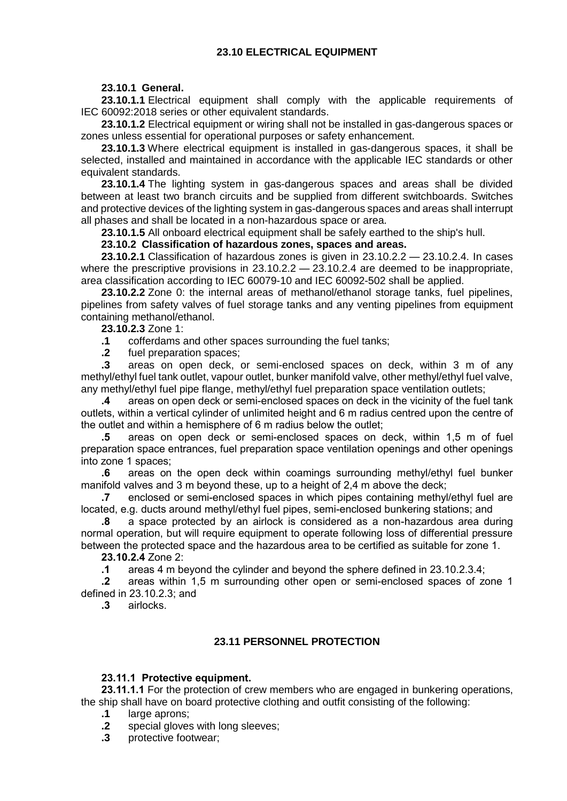# **23.10 ELECTRICAL EQUIPMENT**

## **23.10.1 General.**

**23.10.1.1** Electrical equipment shall comply with the applicable requirements of IEC 60092:2018 series or other equivalent standards.

**23.10.1.2** Electrical equipment or wiring shall not be installed in gas-dangerous spaces or zones unless essential for operational purposes or safety enhancement.

**23.10.1.3** Where electrical equipment is installed in gas-dangerous spaces, it shall be selected, installed and maintained in accordance with the applicable IEC standards or other equivalent standards.

**23.10.1.4** The lighting system in gas-dangerous spaces and areas shall be divided between at least two branch circuits and be supplied from different switchboards. Switches and protective devices of the lighting system in gas-dangerous spaces and areas shall interrupt all phases and shall be located in a non-hazardous space or area.

**23.10.1.5** All onboard electrical equipment shall be safely earthed to the ship's hull.

### **23.10.2 Classification of hazardous zones, spaces and areas.**

**23.10.2.1** Classification of hazardous zones is given in 23.10.2.2 — 23.10.2.4. In cases where the prescriptive provisions in  $23.10.2.2 - 23.10.2.4$  are deemed to be inappropriate, area classification according to IEC 60079-10 and IEC 60092-502 shall be applied.

**23.10.2.2** Zone 0: the internal areas of methanol/ethanol storage tanks, fuel pipelines, pipelines from safety valves of fuel storage tanks and any venting pipelines from equipment containing methanol/ethanol.

**23.10.2.3** Zone 1:

**.1** cofferdams and other spaces surrounding the fuel tanks;

**.2** fuel preparation spaces;

**.3** areas on open deck, or semi-enclosed spaces on deck, within 3 m of any methyl/ethyl fuel tank outlet, vapour outlet, bunker manifold valve, other methyl/ethyl fuel valve, any methyl/ethyl fuel pipe flange, methyl/ethyl fuel preparation space ventilation outlets;

**.4** areas on open deck or semi-enclosed spaces on deck in the vicinity of the fuel tank outlets, within a vertical cylinder of unlimited height and 6 m radius centred upon the centre of the outlet and within a hemisphere of 6 m radius below the outlet;

**.5** areas on open deck or semi-enclosed spaces on deck, within 1,5 m of fuel preparation space entrances, fuel preparation space ventilation openings and other openings into zone 1 spaces;

**.6** areas on the open deck within coamings surrounding methyl/ethyl fuel bunker manifold valves and 3 m beyond these, up to a height of 2,4 m above the deck;

**.7** enclosed or semi-enclosed spaces in which pipes containing methyl/ethyl fuel are located, e.g. ducts around methyl/ethyl fuel pipes, semi-enclosed bunkering stations; and

**.8** a space protected by an airlock is considered as a non-hazardous area during normal operation, but will require equipment to operate following loss of differential pressure between the protected space and the hazardous area to be certified as suitable for zone 1.

**23.10.2.4** Zone 2:

**.1** areas 4 m beyond the cylinder and beyond the sphere defined in 23.10.2.3.4;

**.2** areas within 1,5 m surrounding other open or semi-enclosed spaces of zone 1 defined in 23.10.2.3; and

**.3** airlocks.

# **23.11 PERSONNEL PROTECTION**

## **23.11.1 Protective equipment.**

**23.11.1.1** For the protection of crew members who are engaged in bunkering operations, the ship shall have on board protective clothing and outfit consisting of the following:

**.1** large aprons;

**.2** special gloves with long sleeves;

**.3** protective footwear;